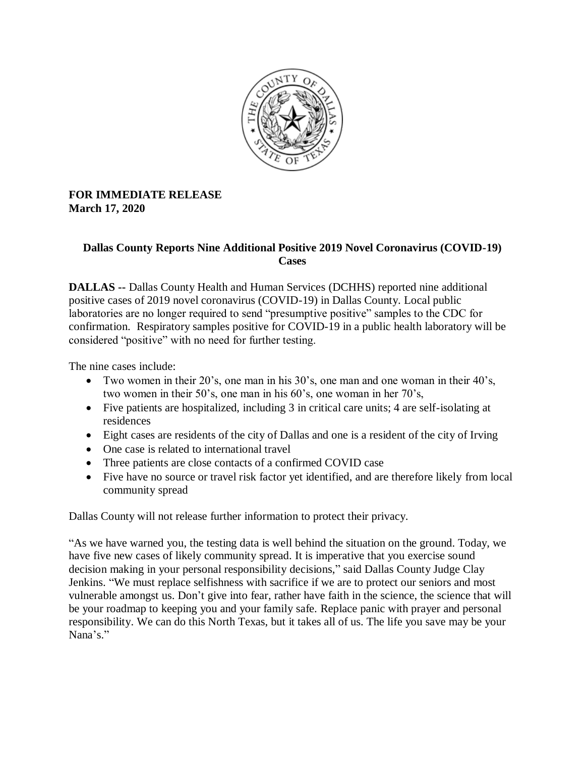

## **FOR IMMEDIATE RELEASE March 17, 2020**

## **Dallas County Reports Nine Additional Positive 2019 Novel Coronavirus (COVID-19) Cases**

**DALLAS --** Dallas County Health and Human Services (DCHHS) reported nine additional positive cases of 2019 novel coronavirus (COVID-19) in Dallas County. Local public laboratories are no longer required to send "presumptive positive" samples to the CDC for confirmation. Respiratory samples positive for COVID-19 in a public health laboratory will be considered "positive" with no need for further testing.

The nine cases include:

- Two women in their 20's, one man in his 30's, one man and one woman in their 40's, two women in their 50's, one man in his 60's, one woman in her 70's,
- Five patients are hospitalized, including 3 in critical care units; 4 are self-isolating at residences
- Eight cases are residents of the city of Dallas and one is a resident of the city of Irving
- One case is related to international travel
- Three patients are close contacts of a confirmed COVID case
- Five have no source or travel risk factor yet identified, and are therefore likely from local community spread

Dallas County will not release further information to protect their privacy.

"As we have warned you, the testing data is well behind the situation on the ground. Today, we have five new cases of likely community spread. It is imperative that you exercise sound decision making in your personal responsibility decisions," said Dallas County Judge Clay Jenkins. "We must replace selfishness with sacrifice if we are to protect our seniors and most vulnerable amongst us. Don't give into fear, rather have faith in the science, the science that will be your roadmap to keeping you and your family safe. Replace panic with prayer and personal responsibility. We can do this North Texas, but it takes all of us. The life you save may be your Nana's."